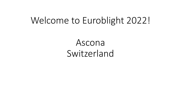# Welcome to Euroblight 2022!

Ascona Switzerland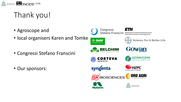

# Thank you!

- Agroscope and
- local organisers Karen and Tomke
- Congressi Stefano Franscini
- Our sponsors:

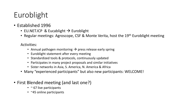# Euroblight

- Established 1996
	- EU.NET.ICP & Eucablight  $\rightarrow$  Euroblight
	- Regular meetings: Agroscope, CSF & Monte Verita, host the 19<sup>th</sup> Euroblight meeting

#### Activities:

- Annual pathogen monitoring  $\rightarrow$  press release early spring
- Euroblight statement after every meeting
- Standardized tools & protocols, continuously updated
- Participates in many project proposals and similar initiatives
- Sister networks in Asia, S. America, N. America & Africa
- Many "experienced participants" but also new participants: WELCOME!
- First Blended meeting (and last one?)
	- $\cdot$   $\sim$  67 live participants
	- ~45 online participants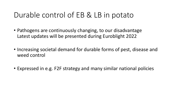## Durable control of EB & LB in potato

- Pathogens are continuously changing, to our disadvantage Latest updates will be presented during Euroblight 2022
- Increasing societal demand for durable forms of pest, disease and weed control
- Expressed in e.g. F2F strategy and many similar national policies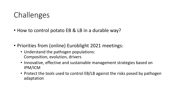## Challenges

- How to control potato EB & LB in a durable way?
- Priorities from (online) Euroblight 2021 meetings:
	- Understand the pathogen populations: Composition, evolution, drivers
	- Innovative, effective and sustainable management strategies based on IPM/ICM
	- Protect the tools used to control EB/LB against the risks posed by pathogen adaptation